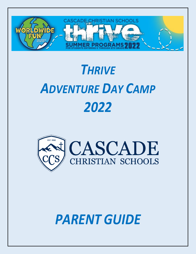

# *THRIVE ADVENTURE DAY CAMP 2022*



# *PARENT GUIDE*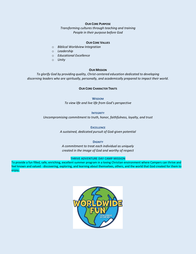#### **OUR CORE PURPOSE**

*Transforming cultures through teaching and training People in their purpose before God*

#### **OUR CORE VALUES**

- o *Biblical Worldview Integration*
- o *Leadership*
- o *Educational Excellence*
- o *Unity*

#### **OUR MISSION**

*To glorify God by providing quality, Christ-centered education dedicated to developing discerning leaders who are spiritually, personally, and academically prepared to impact their world.*

#### **OUR CORE CHARACTER TRAITS**

**WISDOM** *To view life and live life from God's perspective*

**INTEGRITY** *Uncompromising commitment to truth, honor, faithfulness, loyalty, and trust*

> **EXCELLENCE** *A sustained, dedicated pursuit of God-given potential*

**DIGNITY** *A commitment to treat each individual as uniquely created in the image of God and worthy of respect*

#### **THRIVE ADVENTURE DAY CAMP MISSION**

To provide a fun filled, safe, enriching, excellent summer program in a loving Christian environment where Campers can thrive and feel known and valued - discovering, exploring, and learning about themselves, others, and the world that God created for them to enjoy.

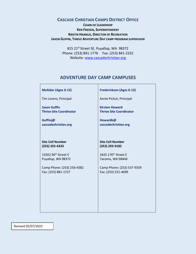# **CASCADE CHRISTIAN CAMPS DISTRICT OFFICE**

**CHAIN OF LEADERSHIP KEN FRIESEN, SUPERINTENDENT KRISTIN HANNUS, DIRECTOR OF RECREATION JASON GUFFIN, THRIVE ADVENTURE DAY CAMP PROGRAM SUPERVISOR**

> 815 21st Street SE, Puyallup, WA 98372 Phone: (253) 841-1776 Fax: (253) 841-2232 Website: [www.cascadechristian.org](http://www.cascadechristian.org/)

# **ADVENTURE DAY CAMP CAMPUSES**

| <b>McAlder (Ages 6-12)</b>      | <b>Frederickson (Ages 6-12)</b> |
|---------------------------------|---------------------------------|
| Tim Lorenz, Principal           | Annie Pichot, Principal         |
| <b>Jason Guffin</b>             | <b>Kirsten Howard</b>           |
| <b>Thrive Site Coordinator</b>  | <b>Thrive Site Coordinator</b>  |
| Guffinj@                        | Howardk@                        |
| cascadechristian.org            | cascadechristian.org            |
| <b>Site Cell Number</b>         | <b>Site Cell Number</b>         |
| $(253)$ 355-4333                | (253) 293-9182                  |
| 15502 96 <sup>th</sup> Street E | 3425 176 <sup>th</sup> Street E |
| Puyallup, WA 98372              | Tacoma, WA 98446                |
| Camp Phone: (253) 256-4382      | Camp Phone: (253) 537-9339      |
| Fax: (253) 881-1727             | Fax: (253) 531-4699             |
|                                 |                                 |
|                                 |                                 |

Revised 02/07/2022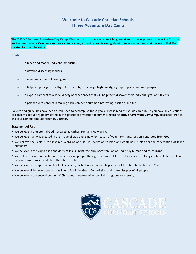# **Welcome to Cascade Christian Schools Thrive Adventure Day Camp**

**The THRIVE Summer Adventure Day Camp Mission** is to provide a safe, enriching, excellent summer program in a loving Christian environment where Campers can thrive - discovering, exploring, and learning about themselves, others, and the world that God created for them to enjoy.

**Goals:**

- To teach and model Godly characteristics
- To develop discerning leaders
- To minimize summer learning loss
- To help Campers gain healthy self-esteem by providing a high quality, age-appropriate summer program
- To expose campers to a wide variety of experiences that will help them discover their individual gifts and talents
- To partner with parents in making each Camper's summer interesting, exciting, and fun

Policies and guidelines have been established to accomplish these goals. Please read this guide carefully. If you have any questions or concerns about any policy stated in this packet or any other document regarding **Thrive Adventure Day Camp,** please feel free to ask your campus Site Coordinator/Director.

#### **Statement of Faith**

- We believe in one eternal God, revealed as Father, Son, and Holy Spirit.
- We believe man was created in the image of God and is now, by reason of voluntary transgression, separated from God.
- We believe the Bible is the inspired Word of God, is His revelation to man and contains His plan for the redemption of fallen humanity.
- We believe in the virgin birth and deity of Jesus Christ, the only begotten Son of God, truly human and truly divine.
- We believe salvation has been provided for all people through the work of Christ at Calvary, resulting in eternal life for all who believe, turn from sin and place their faith in Him.
- We believe in the spiritual unity of all believers, each of whom is an integral part of the church, the body of Christ.
- We believe all believers are responsible to fulfill the Great Commission and make disciples of all people.
- We believe in the second coming of Christ and the pre-eminence of His kingdom for eternity.

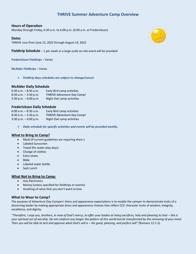# **THRIVE Summer Adventure Camp Overview**

## **Hours of Operation**

Monday through Friday, 6:30 a.m. to 6:00 p.m. (6:00 a.m. at Frederickson)

#### **Dates**

**THRIVE** runs from June 15, 2022 through August 19, 2022

**Fieldtrip Schedule** – 1 per week or a large-scale on-site event will be provided

**Frederickson Fieldtrips** – Varies

**McAlder Fieldtrips** – Varies

➢ *Fieldtrip days schedules are subject to change/cancel.*

#### **McAlder Daily Schedule**

| $6:30$ a.m. $-8:30$ a.m. | Early Bird camp activities        |
|--------------------------|-----------------------------------|
| $8:30$ a.m. $-3:30$ p.m. | <b>THRIVE Adventure Day Camp!</b> |
| $3:30$ p.m. $-6:00$ p.m. | Night Owl camp activities         |

#### **Frederickson Daily Schedule**

| $6:00$ a.m. $-8:30$ a.m. | Early Bird camp activities        |
|--------------------------|-----------------------------------|
| $8:30$ a.m. $-3:30$ p.m. | <b>THRIVE Adventure Day Camp!</b> |
| $3:30$ p.m. $-6:00$ p.m. | Night Owl camp activities         |

➢ *Daily schedule for specific activities and events will be provided weekly.*

#### **What to Bring to Camp?**

- Mask (If current guidelines are requiring them.)
- Labeled Sunscreen
- Towel (for water play days)
- Change of clothes
- Extra shoes
- Bible
- Labeled water bottle
- Sack Lunch

#### **What Not to Bring to Camp:**

- Any Electronics
- Money (unless specified for fieldtrips or events)
- Anything of value that you don't want to lose

#### **What to Wear to Camp?**

The purpose of Adventure Day Campers' dress and appearance expectations is to enable the camper to demonstrate traits of a discerning leader by making appropriate dress and appearance choices that reflect CCS' character traits of wisdom, integrity, excellence, and dignity.

*"Therefore, I urge you, brothers, in view of God's mercy, to offer your bodies as living sacrifices, holy and pleasing to God – this is your spiritual act of worship. Do not conform any longer the pattern of this world but be transformed by the renewing of your mind. Then you will be able to test and approve what God's will is – His good, pleasing, and perfect will" (*Romans 12:1-2).

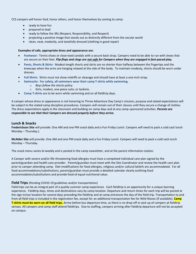CCS campers will honor God, honor others, and honor themselves by coming to camp:

- ready to have fun
- prepared to lead
- ready to follow the 3Rs (Respect, Responsibility, and Respect)
- projecting a positive image that stands out as distinctly different from the secular world
- clean, neat, modestly, and tastefully dressed (clothing in good repair)

#### **Examples of safe, appropriate dress and appearance are:**

- **Footwear:** Tennis shoes or close-toed sandals with a secure back strap. Campers need to be able to run with shoes that are secure on their feet. *Flip-flops and clogs are not safe for Campers when they are engaged in fast-paced play.*
- **Pants, Shorts & Skirts:** Modest-length shorts and skirts are no shorter than halfway between the fingertips and the kneecaps when the arms are hanging relaxed at the side of the body. To maintain modesty, shorts should be worn under dresses.
- **Full Shirts:** Shirts must not show midriffs or cleavage and should have at least a one-inch strap.
- **Swimsuits: For safety, all swimmers wear their camp T-shirts while swimming.** 
	- o *Boys follow the shorts policy.*
	- o Girls, modest, one-piece suits; or tankinis.
- **Camp T-shirts** are to be worn while swimming and on all fieldtrip days.

A camper whose dress or appearance is not honoring to Thrive Adventure Day Camp's mission, purpose and stated expectations will be subject to the stated camp discipline procedures. Campers will remain out of their classes until they secure a change of clothes. The dress expectations apply in the classroom and building on camp days and at any camp-sponsored activities. *Parents are responsible to see that their Campers are dressed properly before they arrive.*

#### **Lunch & Snacks**

**Frederickson Site** will provide: One AM and one PM snack daily and a Fun Friday Lunch. Campers will need to pack a cold sack lunch Monday – Thursday.).

**McAlder Site** will provide: One AM and one PM snack daily and a Fun Friday Lunch. Campers will need to pack a cold sack lunch Monday – Thursday.

The snack menu varies bi-weekly and is posted in the camp newsletter, and at the parent information station.

A Camper with severe and/or life-threatening food allergies must have a completed individual care plan signed by the parent/guardian and health care provider. Parent/guardian must meet with the Site Coordinator and review the health care plan prior to camper attending camp. Diet modifications for food allergies, religious and/or cultural beliefs are accommodated. For all food accommodations/substitutions, parent/guardian must provide a detailed calendar clearly outlining food accommodation/substitutions and provide food of equal nutritional value.

#### **Field Trips** (Pending COVID-19 guidelines and/or transportation)

Field trips can be an integral part of a quality summer camp experience. Each fieldtrip is an opportunity for a unique learning experience. Fieldtrip days, times and destinations vary by camp location. Departure and return times for each trip will be posted at the sign-in/out location for several days preceding the fieldtrip and at camp entrances the day of the field trip. Transportation to and from all field trips is included in the registration fee, except for an additional transportation fee for Wild Waves (If available). **Camp T-shirts must be worn on all field trips.** Arrive before bus departure time, as there is no drop-off or pick up of campers at fieldtrip venues. All campers and camp staff attend fieldtrips. Due to staffing, campers arriving after fieldtrip departure will not be accepted on campus.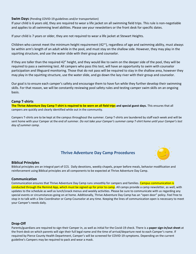## **Swim Days** (Pending COVID-19 guidelines and/or transportation)

If your child is 6 years old, they are required to wear a life jacket on all swimming field trips. This rule is non-negotiable and applies to all swimming level abilities. Please see your newsletters or the front desk for specific dates.

If your child is 7 years or older, they are not required to wear a life jacket at Stewart Heights.

Children who cannot meet the minimum height requirement (42″), regardless of age and swimming ability, must always be within arm's length of an adult while in the pool, and must stay on the shallow side. However, they may play in the squirting structure, and use the water slide with their group and counselor.

If they are taller than the required 42" height, and they would like to swim on the deeper side of the pool, they will be required to pass a swimming test. All campers who pass this test, will have an opportunity to swim with counselor participation and lifeguard monitoring. Those that do not pass will be required to stay in the shallow area, however they may play in the squirting structure, use the water slide, and go down the lazy river with their group and counselor.

Our goal is to ensure each camper's safety and encourage them to have fun while they further develop their swimming skills. For that reason, we will be constantly reviewing pool safety rules and testing camper swim skills on an ongoing basis.

## **Camp T-shirts**

**The Thrive Adventure Day Camp T-shirt is required to be worn on all field trips and special guest days.** This ensures that all campers are quickly and clearly identified while out in the community.

Campers T-shirts are to be kept at the campus throughout the summer. Camp T-shirts are laundered by staff each week and will be sent home with your Camper at the end of summer. *Do not take your Camper's summer camp T-shirt home until your Camper's last day of summer camp.*

# **Thrive Adventure Day Camp Procedures**



## **Biblical Principles**

Biblical principles are an integral part of CCS. Daily devotions, weekly chapels, prayer before meals, behavior modification and reinforcement using Biblical principles are all components to be expected at Thrive Adventure Day Camp.

## **Communication**

Communication ensures that Thrive Adventure Day Camp runs smoothly for campers and families. Campus communication is conducted through the Remind App, which must be signed up for prior to camp. All camps provide a camp newsletter, as well, with updates to the schedule as well as lunch/snack menus and weekly activities. Please be sure to communicate with us regarding any special events or circumstances going on at home. Additionally, Thrive Adventure Day Camp has an "open door" policy. Feel free to stop in to talk with a Site Coordinator or Camp Counselor at any time. Keeping the lines of communication open is necessary to meet your Camper's needs daily.

## **Drop-Off**

Parents/guardians are required to sign their Camper in, as well as initial for the Covid-19 check. There is a **paper sign-in/out sheet** at the front desk on which parents will sign their full legal name and the time of arrival/departure next to each Camper's name. If required by Pierce County Health Department, Camper's will be screened for COVID-19 symptoms. Depending on the current guideline's Campers may be required to pack and wear a mask.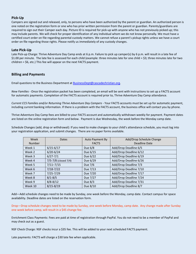## **Pick-Up**

Campers are signed out and released, only, to persons who have been authorized by the parent or guardian. An authorized person is one noted on the registration form or one who has prior written permission from the parent or guardian. Parents/guardians are required to sign out their Camper each day. Picture ID is required for pick-up with anyone who has not previously picked up; this may include parents. We will check for proper identification of any individual whom we do not know personally. We must have a certified court order on file regarding parental custody matters. We cannot refuse a parent's pickup rights unless we have a court order on file regarding those rights. Please notify us immediately of any custody changes.

#### **Late Pick-Up**

Late Pick-up Charge: Thrive Adventure Day Camp ends at 6 p.m. Failure to pick up camper(s) by 6 p.m. will result in a late fee of \$1.00 per minute. The late fee is assessed for each child (example: three minutes late for one child = \$3; three minutes late for two children = \$6, etc.) This fee will appear on the next FACTS payment.

## **Billing and Payments**

Email questions to the Business Department at **BusinessDept@cascadechristian.org**.

*New Families* - Once the registration packet has been completed, an email will be sent with instructions to set up a FACTS account for automatic payments. Completion of the FACTS account is required prior to, Thrive Adventure Day Camp attendance.

*Current CCS Families and/or Returning Thrive Adventure Day Campers* - Your FACTS accounts must be set up for automatic payment, including *current* banking information. If there is a problem with the FACTS account, the business office will contact you by phone.

Thrive Adventure Day Camp fees are billed to your FACTS account and automatically withdrawn weekly for payment. Payment dates are listed on the online registration form and below. Payment is due Wednesday, the week before the Monday camp date.

Schedule Changes (add, drop or withdrawal): If you need to make changes to your child's attendance schedule, you must log into your registration application, and submit changes. There are no paper forms available.

| Week<br><b>Number</b> | Dates                | Auto Payment By<br><b>FACTS</b> | Add/Drop Schedule Change<br>Deadline Date |
|-----------------------|----------------------|---------------------------------|-------------------------------------------|
| Week 1                | $6/15 - 6/17$        | Due $6/8$                       | Add/Drop Deadline 6/5                     |
| Week 2                | $6/20 - 6/24$        | Due 6/15                        | Add/Drop Deadline 6/12                    |
| Week 3                | $6/27 - 7/1$         | Due 6/22                        | Add/Drop Deadline 6/19                    |
| Week 4                | 7/5-7/8 (closed 7/4) | Due 6/29                        | Add/Drop Deadline 6/26                    |
| Week 5                | $7/11 - 7/15$        | Due 7/6                         | Add/Drop Deadline 7/3                     |
| Week 6                | $7/18 - 7/22$        | Due 7/13                        | Add/Drop Deadline 7/10                    |
| Week 7                | $7/25 - 7/29$        | Due 7/20                        | Add/Drop Deadline 7/17                    |
| Week 8                | $8/1 - 8/5$          | Due 7/27                        | Add/Drop Deadline 7/24                    |
| Week 9                | $8/8 - 8/12$         | Due 8/3                         | Add/Drop Deadline 7/31                    |
| Week 10               | $8/15 - 8/19$        | Due 8/10                        | Add/Drop Deadline 8/7                     |

Add—Add schedule changes need to be made by Sunday, one week before the Monday, camp date. Contact campus for space availability. Deadline dates are listed on the reservation form.

Drop—Drop schedule changes need to be made by Sunday, one week before Monday, camp date. Any change made after Sunday one week before camp, will result in a \$45 change fee.

Enrichment Class Payments: Fees are paid at time of registration through PayPal. You do not need to be a member of PayPal and may check out as a guest.

NSF Check Charge: NSF checks incur a \$35 fee. This will be added to your next scheduled FACTS payment.

Late payments: FACTS will charge a \$30 late fee when applicable.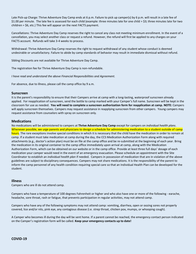Late Pick-up Charge: Thrive Adventure Day Camp ends at 6 p.m. Failure to pick up camper(s) by 6 p.m. will result in a late fee of \$1.00 per minute. The late fee is assessed for each child (example: three minutes late for one child = \$3; three minutes late for two children = \$6, etc.) This fee will appear on the next FACTS payment.

Cancellations: Thrive Adventure Day Camp reserves the right to cancel any class not meeting minimum enrollment. In the event of a cancellation, you may select another class or request a refund. However, the refund will first be applied to any charges on your FACTS account. Refunds will take 3-4 weeks to process.

Withdrawal: Thrive Adventure Day Camp reserves the right to request withdrawal of any student whose conduct is deemed undesirable or unsatisfactory. Failure to abide by camp standards of behavior may result in immediate dismissal without refund.

Sibling Discounts are not available for Thrive Adventure Day Camp.

The registration fee for Thrive Adventure Day Camp is non-refundable.

*I have read and understand the above Financial Responsibilities and Agreement.*

For absence, due to illness, please call the camp office by 9 a.m.

#### **Sunscreen**

It is the parent's responsibility to ensure that their Campers arrive at camp with a long-lasting, waterproof sunscreen already applied. For reapplication of sunscreen, send the bottle to camp marked with your Camper's full name. Sunscreen will be kept in the classroom for use as needed. **You will need to complete a sunscreen authorization form for reapplication at camp. NOTE:** Campers will apply sunscreen themselves. Campers may request assistance in reapplying sunscreen from other campers. Young campers may request assistance from counselors with spray on sunscreen only.

#### **Medications**

No medications will be administered to campers at **Thrive Adventure Day Camp** except for campers on *individual health plans*. Whenever possible, we urge parents and physicians to design a schedule for administering medication to a student outside of camp hours. The rare exceptions involve special conditions in which it is necessary that the child have the medication in order to remain at camp. If a student must take medication at camp during the day, the CCS Medication Authorization Form along with required attachments (e.g., doctor's action plan) must be on file at the camp office and be re-submitted at the beginning of each year. Bring the medication in its original container to the camp office immediately upon arrival at camp, along with the Medication Authorization Form, which can be obtained on our website or in the camp office. Provide at least three full days' dosage of each medication your camper would need in the event of an emergency evacuation. Please schedule an appointment with the Site Coordinator to establish an *individual health plan* if needed. Campers in possession of medication that are in violation of the above guidelines are subject to disciplinary consequences. Campers may not share medications. It is the responsibility of the parent to inform the camp personnel of any health condition requiring special care so that an Individual Health Plan can be developed for the student.

#### **Illness**

Campers who are ill do not attend camp.

Campers who have a temperature of 100 degrees Fahrenheit or higher and who also have one or more of the following - earache, headache, sore throat, rash or fatigue, that prevents participation in regular activities, may not attend camp.

Campers who have any of the following symptoms may not attend camp: vomiting, diarrhea, open or oozing sores not properly covered, lice and/or nits, pink eye, any contagious disease (i.e. strep throat, chicken pox, mumps, or whooping cough).

A Camper who becomes ill during the day will be sent home. If a parent cannot be reached, the emergency contact person indicated on the Camper's registration form will be called. **Keep your emergency contacts up to date!**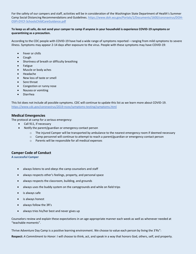For the safety of our campers and staff, activities will be in consideration of the Washington State Department of Health's Summer Camp Social Distancing Recommendations and Guidelines. [https://www.doh.wa.gov/Portals/1/Documents/1600/coronavirus/DOH-](https://www.doh.wa.gov/Portals/1/Documents/1600/coronavirus/DOH-OSPI-DYCF-SchoolsChildCareGuidance.pdf)[OSPI-DYCF-SchoolsChildCareGuidance.pdf](https://www.doh.wa.gov/Portals/1/Documents/1600/coronavirus/DOH-OSPI-DYCF-SchoolsChildCareGuidance.pdf)

#### **To keep us all safe, do not send your camper to camp if anyone in your household is experience COVID-19 symptoms or quarantining as a precaution.**

According to the CDC people with COVID-19 have had a wide range of symptoms reported – ranging from mild symptoms to severe illness. Symptoms may appear 2-14 days after exposure to the virus. People with these symptoms may have COVID-19:

- Fever or chills
- Cough
- Shortness of breath or difficulty breathing
- **Fatigue**
- Muscle or body aches
- Headache
- New loss of taste or smell
- Sore throat
- Congestion or runny nose
- Nausea or vomiting
- Diarrhea

This list does not include all possible symptoms. CDC will continue to update this list as we learn more about COVID-19. <https://www.cdc.gov/coronavirus/2019-ncov/symptoms-testing/symptoms.html>

#### **Medical Emergencies**

The protocol at camp for a serious emergency:

- Call 911, if necessary
- Notify the parent/guardian or emergency contact person
	- $\circ$  The injured Camper will be transported by ambulance to the nearest emergency room if deemed necessary
	- $\circ$  Camp personnel will continue to attempt to reach a parent/guardian or emergency contact person
	- o Parents will be responsible for all medical expenses

#### **Camper Code of Conduct**

**A successful Camper** 

- always listens to and obeys the camp counselors and staff
- always respects other's feelings, property, and personal space
- always respects the classroom, building, and grounds
- always uses the buddy system on the campgrounds and while on field trips
- is always safe
- is always honest
- always follow the 3R's
- always tries his/her best and never gives up

Counselors review and explain these expectations in an age-appropriate manner each week as well as whenever needed at "teachable moments".

Thrive Adventure Day Camp is a positive learning environment. We choose to value each person by living the 3'Rs":

**Respect:** *A Commitment to Honor*: I will choose to think, act, and speak in a way that honors God, others, self, and property.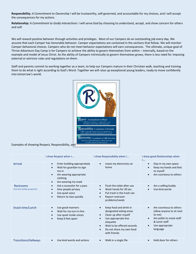**Responsibility:** *A Commitment to Ownership* I will be trustworthy, self-governed, and accountable for my choices, and I will accept the consequences for my actions.

**Relationship:** *A Commitment to Godly Interactions:* I will serve God by choosing to understand, accept, and show concern for others and self.

We will reward positive behavior through activities and privileges. Most of our Campers do an outstanding job every day. We assume that each Camper has honorable behavior. Camper expectations are contained in the sections that follow. We will monitor Camper behavioral choices. Campers who do not meet behavior expectations will earn consequences. The ultimate, unique goal of Thrive Adventure Day Camp is for Campers to achieve the ability to govern themselves from within – internally, based on the example and model of Jesus Christ. As the ability of Campers intrinsically to govern themselves grows, there is less need for imposing external or extrinsic rules and regulations on them.

Staff and parents commit to working together as a team, to help our Campers mature in their Christian walk, teaching and training them to do what is right according to God's Word. Together we will raise up exceptional young leaders, ready to move confidently into tomorrow's world.



|                                                  | I show Respect when I                                                                                                                                                              | I show Responsibility when I                                                                                                                                                                                                                               | I show good Relationships when<br>1                                                                                                                    |
|--------------------------------------------------|------------------------------------------------------------------------------------------------------------------------------------------------------------------------------------|------------------------------------------------------------------------------------------------------------------------------------------------------------------------------------------------------------------------------------------------------------|--------------------------------------------------------------------------------------------------------------------------------------------------------|
| Arrival                                          | Enter building appropriately<br>$\bullet$<br>Wait for guardian to sign<br>$\bullet$<br>me in<br>Am wearing appropriate<br>$\bullet$<br>clothing<br>Am wearing my mask<br>$\bullet$ | Leave my electronics at<br>$\bullet$<br>home                                                                                                                                                                                                               | Stay in my own space<br>$\bullet$<br>Keep my hands and feet<br>to myself<br>Am courteous to others                                                     |
| <b>Restrooms</b><br>(Use the facility properly!) | Ask a counselor for a pass<br>$\bullet$<br>Give people privacy<br>$\bullet$<br>Use quiet voice<br>$\bullet$<br>Return to class quickly<br>$\bullet$                                | Flush the toilet after use<br>$\bullet$<br>Wash hands for 20 sec.<br>$\bullet$<br>Put trash in the trash can<br>$\bullet$<br>Report restroom<br>$\bullet$<br>problems/needs                                                                                | Am a willing buddy<br>Use kind words                                                                                                                   |
| Snack time/Lunch                                 | Use good manners<br>$\bullet$<br>Wait for my turn in line<br>$\bullet$<br>Use quiet inside voices<br>$\bullet$<br>Keep 6 feet apart<br>$\bullet$                                   | Keep food and drink in<br>$\bullet$<br>designated eating areas<br>Clean up after myself<br>$\bullet$<br>Use appropriate line<br>$\bullet$<br>etiquette<br>Wait to be offered seconds<br>$\bullet$<br>Do not share my own food<br>$\bullet$<br>with friends | Am courteous to others<br>$\bullet$<br>(allow anyone to sit next<br>to me)<br>Am polite to snack staff<br>& lunch staff<br>Use appropriate<br>language |
| <b>Transitions/Hallways</b>                      | Use kind words and actions<br>$\bullet$                                                                                                                                            | Walk in a single file<br>$\bullet$                                                                                                                                                                                                                         | Hold door for others<br>$\bullet$                                                                                                                      |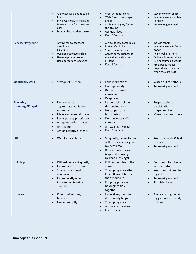|                                     | Allow guests & adults to go<br>first<br>In hallway, stay to the right<br>$\bullet$<br>& leave space for others to<br>pass<br>Do not disturb other classes                                               | Walk without talking<br>$\bullet$<br>Walk forward with eyes<br>ahead,<br>Walk keeping my feet on<br>$\bullet$<br>the ground<br>Use quiet feet<br>$\bullet$<br>Keep 6 feet apart<br>$\bullet$                                     | Stay in my own space<br>Keep my hands and feet<br>to myself<br>Am wearing my mask<br>$\bullet$                                                                                                                                                                                                   |
|-------------------------------------|---------------------------------------------------------------------------------------------------------------------------------------------------------------------------------------------------------|----------------------------------------------------------------------------------------------------------------------------------------------------------------------------------------------------------------------------------|--------------------------------------------------------------------------------------------------------------------------------------------------------------------------------------------------------------------------------------------------------------------------------------------------|
| Recess/Playground                   | Always follow teachers'<br>directions<br>Play fairly<br>$\bullet$<br>Use good sportsmanship<br>$\bullet$<br>Use equipment properly<br>Use appropriate language                                          | Always follow game rules<br>$\bullet$<br>Make safe choices<br>$\bullet$<br>Stay in designated areas<br>$\bullet$<br>Accept consequences for<br>$\bullet$<br>my actions with a kind<br>attitude<br>Keep 6 feet apart<br>$\bullet$ | Include others<br>$\bullet$<br>Keep my hands & feet to<br>$\bullet$<br>myself<br>Think well of others<br>$\bullet$<br>Actively listen to others<br>$\bullet$<br>Use encouraging words<br>$\bullet$<br>Am a peace maker<br>$\bullet$<br>Help others to teacher<br>$\bullet$<br>when they are hurt |
| <b>Emergency Drills</b>             | Stay quiet & listen                                                                                                                                                                                     | Follow directions<br>$\bullet$<br>Line up quickly<br>Remain in line with<br>$\bullet$<br>counselor<br>Keep calm<br>$\bullet$                                                                                                     | Watch out for others<br>$\bullet$<br>Am wearing my mask                                                                                                                                                                                                                                          |
| <b>Assembly</b><br>(Opening)/Chapel | Demonstrate<br>appropriate audience<br>etiquette<br>Maintain personal space<br>$\bullet$<br>Participate appropriately<br>$\bullet$<br>Am quiet during prayer<br>Am reverent<br>Am an attentive listener | Leave backpacks in<br>$\bullet$<br>designated area<br>Honor personal<br>$\bullet$<br>boundaries<br>Demonstrate self-<br>$\bullet$<br>constraint<br>Am wearing my mask<br>$\bullet$<br>Keep 6 feet apart<br>$\bullet$             | Respect others<br>$\bullet$<br>participation in<br>chapel service<br>Make room for others<br>$\bullet$                                                                                                                                                                                           |
| <b>Bus</b>                          | Wait for directions                                                                                                                                                                                     | Sit quietly, facing forward<br>$\bullet$<br>with my arms & legs in<br>my seat area<br>Be silent when asked<br>(especially during<br>railroad crossings)                                                                          | Keep my hands & feet<br>$\bullet$<br>to myself<br>Am wearing my mask                                                                                                                                                                                                                             |
| <b>Field trip</b>                   | Offload quickly & quietly<br>Listen for instructions<br>Stay with assigned<br>counselor<br>Listen quietly when<br>$\bullet$<br>information is being<br>shared                                           | Follow the rules of the<br>$\bullet$<br>venue<br>Tidy up my area after<br>$\bullet$<br>lunch (leave it better<br>than I found it)<br>Keep my personal<br>$\bullet$<br>belongings tidy &<br>together                              | Be prompt for check-<br>$\bullet$<br>in & departure<br>Keep hands & feet to<br>$\bullet$<br>myself<br>Am wearing my mask<br>Keep 6 feet apart                                                                                                                                                    |
| Dismissal                           | Check out with my<br>teacher<br>Leave promptly                                                                                                                                                          | Have all my personal<br>$\bullet$<br>items ready to go<br>Tidy up my area<br>$\bullet$<br>Am wearing my mask<br>Keep 6 feet apart                                                                                                | Am ready to go when<br>$\bullet$<br>my parents are ready<br>to leave                                                                                                                                                                                                                             |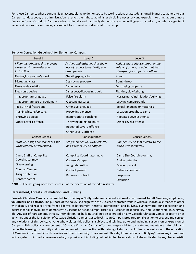For those Campers, whose conduct is unacceptable, who demonstrate by work, action, or attitude an unwillingness to adhere to our Camper conduct code, the administration reserves the right to administer discipline necessary and expedient to bring about a more favorable form of conduct. Campers who continually and habitually demonstrate an unwillingness to conform, or who are guilty of serious violations of camp rules, are subject to suspension or dismissal from camp.

| Level 1                                                                            | Level 2                                                                              | Level 3                                                                                                           |
|------------------------------------------------------------------------------------|--------------------------------------------------------------------------------------|-------------------------------------------------------------------------------------------------------------------|
| Minor disturbances that prevent<br>classroom/camp order and<br><i>instruction.</i> | Actions and attitudes that show<br>lack of respect to authority and<br>other people. | Actions that seriously threaten the<br>safety of others, or a flagrant lack<br>of respect for property or others. |
| Destroying another's work                                                          | Cheating/plagiarism                                                                  | Arson                                                                                                             |
| Disrupting class                                                                   | Destroying property                                                                  | <b>Bomb threat</b>                                                                                                |
| Dress code violation                                                               | Dishonesty                                                                           | Destroying property                                                                                               |
| Electronic device                                                                  | Disrespect/disobeying adult                                                          | Fighting/play-fighting                                                                                            |
| Inappropriate language                                                             | False fire alarm                                                                     | Harassment/intimidation/bullying                                                                                  |
| Inappropriate use of equipment                                                     | Obscene gestures                                                                     | Leaving campgrounds                                                                                               |
| Noisy in hall/restroom                                                             | Offensive language                                                                   | Sexual language or materials                                                                                      |
| Pushing/hitting/spitting                                                           | Provoking violence                                                                   | Weapon brought to camp                                                                                            |
| Throwing objects                                                                   | <b>Inappropriate Touching</b>                                                        | Repeated Level 2 offense                                                                                          |
| Other Level 1 offense                                                              | Throwing object to injure                                                            | Other Level 3 offense                                                                                             |
|                                                                                    | Repeated Level 1 offense                                                             |                                                                                                                   |
|                                                                                    | Other Level 2 offense                                                                |                                                                                                                   |
| Consequences                                                                       | Consequences                                                                         | Consequences                                                                                                      |
| Staff will assign consequences and<br>write referral as warranted.                 | Staff member will write referral<br>and parents will be notified.                    | Camper will be sent directly to the<br>office with a referral.                                                    |
| Camp Staff or Camp Site<br>Coordinator may:                                        | Camp Site Coordinator may:<br><b>Counsel Camper</b>                                  | Camp Site Coordinator may:<br>Assign detention                                                                    |
| Give warning                                                                       | Assign detention                                                                     | Contact parent                                                                                                    |
| <b>Counsel Camper</b>                                                              | Contact parent                                                                       | <b>Behavior contract</b>                                                                                          |
| Assign detention                                                                   | <b>Behavior contract</b>                                                             | Suspension                                                                                                        |
| Contact parent                                                                     |                                                                                      | Expulsion                                                                                                         |

Behavior Correction Guidelines\* for Elementary Campers

**\* NOTE**: The assigning of consequences is at the discretion of the administrator.

#### **Harassment, Threats, Intimidation, and Bullying**

**Cascade Christian Camps is committed to providing a Godly, safe, and civil educational environment for all Campers, employees, volunteers, and patrons**. The purpose of the policy is to align with the CCS core character traits in which all individuals treat each other with dignity and respect, free from all forms of harassment, threats, intimidation, and bullying. Furthermore, our expectation and desire is for all individuals to demonstrate Cascade Christian Camps' Three R's (Respect, Responsibility, and Relationship) in everyday life. Any act of harassment, threats, intimidation, or bullying shall not be tolerated on any Cascade Christian Camps property or at activities under the jurisdiction of Cascade Christian Camps. Cascade Christian Camps is prepared to take action to prevent and correct any violations of this policy. Anyone who violates this policy is subject to discipline, up to and including suspension or expulsion of Campers. This policy is a component of Cascade Christian Camps' effort and responsibility to create and maintain a safe, civil, and respectful learning community and is implemented in conjunction with training of staff and volunteers, as well as with the education of Campers in partnership with families and the community. "Harassment, Threats, Intimidation, and Bullying" mean any intentional written, electronic media message, verbal, or physical act, including but not limited to: one shown to be motivated by any characteristic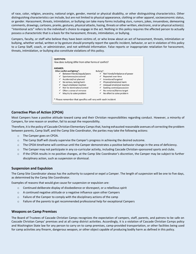of race, color, religion, ancestry, national origin, gender, mental or physical disability, or other distinguishing characteristics. Other distinguishing characteristics can include, but are not limited to physical appearance, clothing or other apparel, socioeconomic status, or gender. Harassment, threats, intimidation, or bullying can take many forms including slurs, rumors, jokes, innuendoes, demeaning comments, drawings, cartoons, pranks, gestures, physical attacks, hazing, threats or other written, electronic, oral or physical action(s). "Intentional acts" refers to the individual's choice to engage in the act. Nothing in this policy requires the affected person to actually possess a characteristic that is a basis for the harassment, threats, intimidation, or bullying.

Campers, faculty, or staff who believe they have been victims of, or who know about an act of harassment, threats, intimidation or bullying, whether verbal, written or by gesture should promptly report the specific incident, behavior, or act in violation of this policy to a Camp Staff, coach, or administrator, and not withhold information. False reports or inappropriate retaliation for harassment, threats, intimidation, or bullying also constitute violations of this policy.



# **Corrective Plan of Action (CPOA)**

Most Campers have a positive attitude toward camp and their Christian responsibilities regarding conduct. However, a minority of Campers, for one reason or another, fail to accept the responsibility.

Therefore, it is the policy of Cascade Christian Elementary Camps that, having exhausted reasonable avenues of correcting the problem between parents, Camp Staff, and the Camp Site Coordinator, the parties may take the following actions:

- o The Camper goes on CPOA.
- o The Camp Staff will closely supervise the Camper's progress in achieving the desired outcome.
- o The CPOA timeframe will continue until the Camper demonstrates a positive behavior change in the area of deficiency.
- o The Camper may not participate in any co-curricular activity, including Cascade Christian-sponsored sports and clubs.
- o If the CPOA results in no positive changes, at the Camp Site Coordinator's discretion, the Camper may be subject to further disciplinary action, such as suspension or dismissal.

## **Suspension and Expulsion**

The Camp Site Coordinator always has the authority to suspend or expel a Camper. The length of suspension will be one to five days, as determined by the Camp Site Coordinator.

Examples of reasons that would give cause for suspension or expulsion are:

- $\circ$  Continued deliberate display of disobedience or disrespect, or a rebellious spirit
- o A continued negative attitude or a negative influence upon other Campers
- o Failure of the Camper to comply with the disciplinary actions of the camp
- $\circ$  Failure of the parents to get recommended professional help for exceptional Campers

## **Weapons on Camp Premises**

The Board of Trustees of Cascade Christian Camps recognizes the expectation of campers, staff, parents, and patrons to be safe on Cascade Christian Camps' premises and at all camp district activities. Accordingly, it is a violation of Cascade Christian Camps policy and Washington State law for any person to carry on to camp premises, camp-provided transportation, or other facilities being used for camp activities any firearm, dangerous weapon, or other object capable of producing bodily harm as defined in this policy.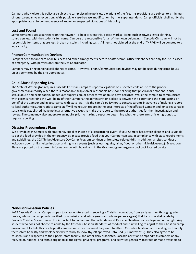Campers who violate this policy are subject to camp discipline policies. Violations of the firearms provisions are subject to a minimum of one calendar year expulsion, with possible case-by-case modification by the superintendent. Camp officials shall notify the appropriate law enforcement agency of known or suspected violations of this policy.

#### **Lost and Found**

Some items may get separated from their owner. To help prevent this, please mark all items such as towels, extra clothing, sunscreen, etc. with the student's full name. Campers are responsible for all of their own belongings. Cascade Christian will not be responsible for items that are lost, broken or stolen, including cash. All items not claimed at the end of THRIVE will be donated to a local charity.

#### **Phone/Communication Devices**

Campers need to take care of all business and other arrangements before or after camp. Office telephones are only for use in cases of emergency, with permission from the Site Coordinator.

Campers may bring personal cell phones to camp. However, phone/communication devices may not be used during camp hours, unless permitted by the Site Coordinator.

#### **Child Abuse Reporting Law**

The State of Washington requires Cascade Christian Camps to report allegations of suspected child abuse to the proper governmental authority when there is reasonable suspicion or reasonable basis for believing that physical or emotional abuse, sexual abuse and exploitation, inadequate supervision, or other forms of abuse have occurred. While the camp is to communicate with parents regarding the well-being of their Campers, the administration's place is between the parent and the State, acting on behalf of the Camper and in accordance with state law. It is the camp's policy not to contact parents in advance of making a report to legal authorities. Appropriate camp staff will make such reports in the best interests of the affected Camper and, once reasonable suspicion is established, have no legal alternative except to make the report to the proper authorities for their investigation and review. The camp may also undertake an inquiry prior to making a report to determine whether there are sufficient grounds to require reporting.

#### **Disaster Preparedness Plans**

We provide each Camper with emergency supplies in case of a catastrophic event. If your Camper has severe allergies and is unable to eat the food provided in the emergency kit, please provide food that your Camper can eat. In compliance with state requirements and guidelines, the CCS Thrive Adventure Day Camp Program conducts a fire safety-related drill. In addition, all sites conduct a lockdown down drill, shelter-in-place, and high-risk events (such as earthquake, lahar, flood, or other high-risk events). Evacuation Plans are posted on the parent information bulletin board, and in the Grab-and-go emergency backpack located on site.

#### **Nondiscrimination Policies**

K–12 Cascade Christian Camps is open to anyone interested in securing a Christian education, from early learning through grade twelve, whom the camp finds qualified for admission and who agrees (and whose parents agree) that he or she shall abide by Cascade Christian's camp rules. It is important to understand that attendance at Cascade Christian is a privilege and not a right. Any student who does not choose to abide by the Cascade Christian standards of conduct and is unwilling to adjust to the Christian camp environment forfeits this privilege. All campers must be convinced they want to attend Cascade Christian Camps and agree to apply themselves honestly and wholeheartedly to study to show thyself approved unto God (2 Timothy 2:15). They also agree to be courteous and respectful to their peers, staff, faculty, and other daily associates. Cascade Christian Camps admits campers of any race, color, national and ethnic origins to all the rights, privileges, programs, and activities generally accorded or made available to